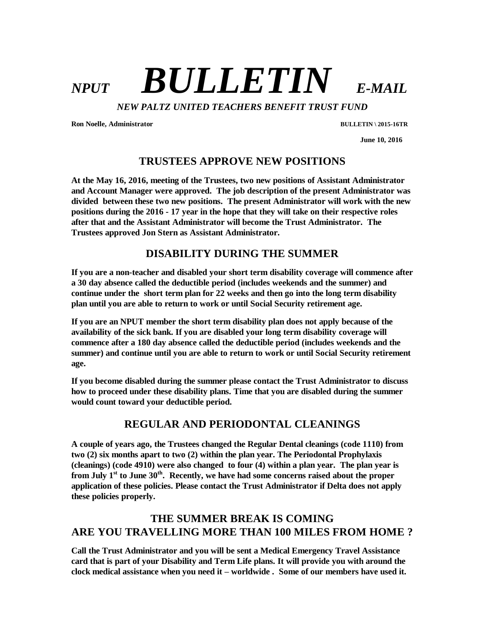# *NPUT BULLETIN E-MAIL*

*NEW PALTZ UNITED TEACHERS BENEFIT TRUST FUND*

**Ron Noelle, Administrator BULLETIN \ 2015-16TR**

 **June 10, 2016**

#### **TRUSTEES APPROVE NEW POSITIONS**

**At the May 16, 2016, meeting of the Trustees, two new positions of Assistant Administrator and Account Manager were approved. The job description of the present Administrator was divided between these two new positions. The present Administrator will work with the new positions during the 2016 - 17 year in the hope that they will take on their respective roles after that and the Assistant Administrator will become the Trust Administrator. The Trustees approved Jon Stern as Assistant Administrator.**

# **DISABILITY DURING THE SUMMER**

**If you are a non-teacher and disabled your short term disability coverage will commence after a 30 day absence called the deductible period (includes weekends and the summer) and continue under the short term plan for 22 weeks and then go into the long term disability plan until you are able to return to work or until Social Security retirement age.**

**If you are an NPUT member the short term disability plan does not apply because of the availability of the sick bank. If you are disabled your long term disability coverage will commence after a 180 day absence called the deductible period (includes weekends and the summer) and continue until you are able to return to work or until Social Security retirement age.** 

**If you become disabled during the summer please contact the Trust Administrator to discuss how to proceed under these disability plans. Time that you are disabled during the summer would count toward your deductible period.** 

## **REGULAR AND PERIODONTAL CLEANINGS**

**A couple of years ago, the Trustees changed the Regular Dental cleanings (code 1110) from two (2) six months apart to two (2) within the plan year. The Periodontal Prophylaxis (cleanings) (code 4910) were also changed to four (4) within a plan year. The plan year is from July 1st to June 30th. Recently, we have had some concerns raised about the proper application of these policies. Please contact the Trust Administrator if Delta does not apply these policies properly.**

# **THE SUMMER BREAK IS COMING ARE YOU TRAVELLING MORE THAN 100 MILES FROM HOME ?**

**Call the Trust Administrator and you will be sent a Medical Emergency Travel Assistance card that is part of your Disability and Term Life plans. It will provide you with around the clock medical assistance when you need it – worldwide . Some of our members have used it.**